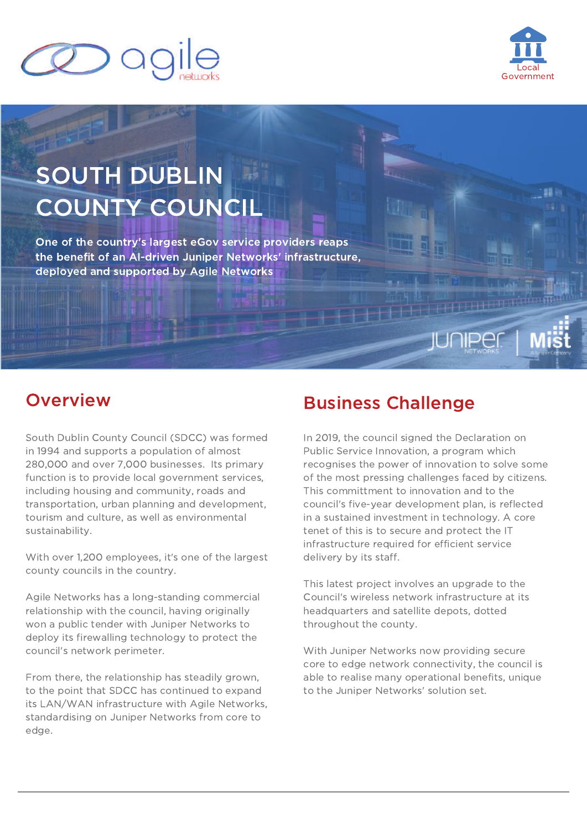



# SOUTH DUBLIN COUNTY COUNCIL

One of the country's largest eGov service providers reaps the benefit of an AI-driven Juniper Networks' infrastructure, deployed and supported by Agile Networks

South Dublin County Council (SDCC) was formed in 1994 and supports a population of almost 280,000 and over 7,000 businesses. Its primary function is to provide local government services, including housing and community, roads and transportation, urban planning and development, tourism and culture, as well as environmental sustainability.

With over 1,200 employees, it's one of the largest county councils in the country.

Agile Networks has a long-standing commercial relationship with the council, having originally won a public tender with Juniper Networks to deploy its firewalling technology to protect the council's network perimeter.

From there, the relationship has steadily grown, to the point that SDCC has continued to expand its LAN/WAN infrastructure with Agile Networks, standardising on Juniper Networks from core to edge.

# **Overview Business Challenge**

In 2019, the council signed the Declaration on Public Service Innovation, a program which recognises the power of innovation to solve some of the most pressing challenges faced by citizens. This committment to innovation and to the council's five-year development plan, is reflected in a sustained investment in technology. A core tenet of this is to secure and protect the IT infrastructure required for efficient service delivery by its staff.

HTI LHL

This latest project involves an upgrade to the Council's wireless network infrastructure at its headquarters and satellite depots, dotted throughout the county.

With Juniper Networks now providing secure core to edge network connectivity, the council is able to realise many operational benefits, unique to the Juniper Networks' solution set.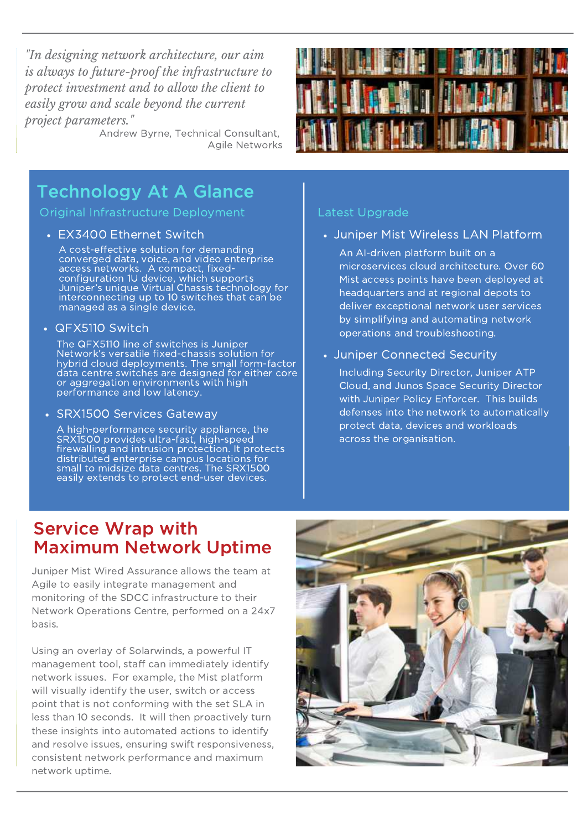*"In designing network architecture, our aim is always to future-proof the infrastructure to protect investment and to allow the client to easily grow and scale beyond the current project parameters."*

Andrew Byrne, Technical Consultant, Agile Networks



## Technology At A Glance

Original Infrastructure Deployment

A cost-effective solution for demanding converged data, voice, and video enterprise access networks. A compact, fixedconfiguration 1U device, which supports Juniper's unique Virtual Chassis technology for interconnecting up to 10 switches that can be managed as a single device.

QFX5110 Switch

The QFX5110 line of switches is Juniper Network's versatile fixed-chassis solution for hybrid cloud deployments. The small form-factor data centre switches are designed for either core or aggregation environments with high performance and low latency.

• SRX1500 Services Gateway

A high-performance security appliance, the SRX1500 provides ultra-fast, high-speed firewalling and intrusion protection. It protects distributed enterprise campus locations for small to midsize data centres. The SRX1500 easily extends to protect end-user devices.

#### Latest Upgrade

• EX3400 Ethernet Switch Juniper Mist Wireless LAN Platform

An AI-driven platform built on a microservices cloud architecture. Over 60 Mist access points have been deployed at headquarters and at regional depots to deliver exceptional network user services by simplifying and automating network operations and troubleshooting.

Juniper Connected Security

Including Security Director, Juniper ATP Cloud, and Junos Space Security Director with Juniper Policy Enforcer. This builds defenses into the network to automatically protect data, devices and workloads across the organisation.

### Service Wrap with Maximum Network Uptime

Juniper Mist Wired Assurance allows the team at Agile to easily integrate management and monitoring of the SDCC infrastructure to their Network Operations Centre, performed on a 24x7 basis.

Using an overlay of Solarwinds, a powerful IT management tool, staff can immediately identify network issues. For example, the Mist platform will visually identify the user, switch or access point that is not conforming with the set SLA in less than 10 seconds. It will then proactively turn these insights into automated actions to identify and resolve issues, ensuring swift responsiveness, consistent network performance and maximum network uptime.

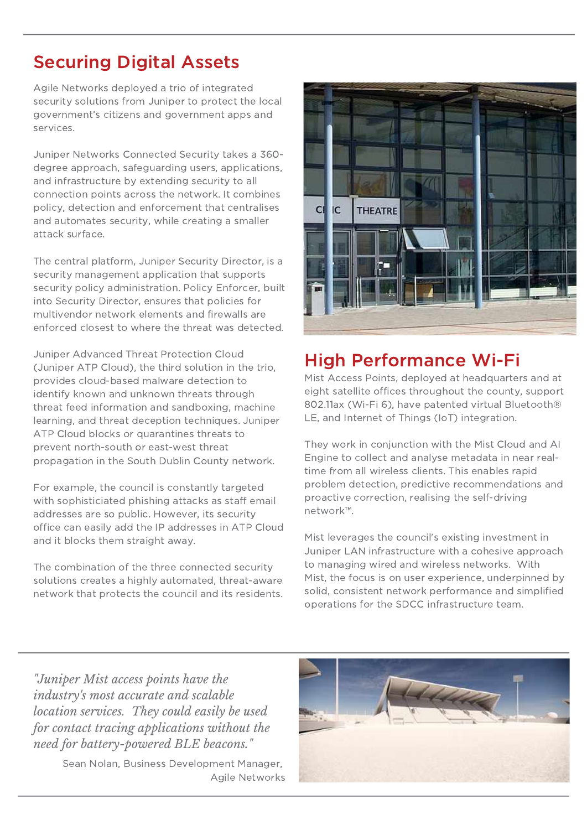# Securing Digital Assets

Agile Networks deployed a trio of integrated security solutions from Juniper to protect the local government's citizens and government apps and services.

Juniper Networks Connected Security takes a 360 degree approach, safeguarding users, applications, and infrastructure by extending security to all connection points across the network. It combines policy, detection and enforcement that centralises and automates security, while creating a smaller attack surface.

The central platform, Juniper Security Director, is a security management application that supports security policy administration. Policy Enforcer, built into Security Director, ensures that policies for multivendor network elements and firewalls are enforced closest to where the threat was detected.

Juniper Advanced Threat Protection Cloud (Juniper ATP Cloud), the third solution in the trio, provides cloud-based malware detection to identify known and unknown threats through threat feed information and sandboxing, machine learning, and threat deception techniques. Juniper ATP Cloud blocks or quarantines threats to prevent north-south or east-west threat propagation in the South Dublin County network.

For example, the council is constantly targeted with sophisticiated phishing attacks as staff email addresses are so public. However, its security office can easily add the IP addresses in ATP Cloud and it blocks them straight away.

The combination of the three connected security solutions creates a highly automated, threat-aware network that protects the council and its residents.



# High Performance Wi-Fi

Mist Access Points, deployed at headquarters and at eight satellite offices throughout the county, support 802.11ax (Wi-Fi 6), have patented virtual Bluetooth® LE, and Internet of Things (IoT) integration.

They work in conjunction with the Mist Cloud and AI Engine to collect and analyse metadata in near realtime from all wireless clients. This enables rapid problem detection, predictive recommendations and proactive correction, realising the self-driving network™.

Mist leverages the council's existing investment in Juniper LAN infrastructure with a cohesive approach to managing wired and wireless networks. With Mist, the focus is on user experience, underpinned by solid, consistent network performance and simplified operations for the SDCC infrastructure team.

*"Juniper Mist access points have the industry's most accurate and scalable location services. They could easily be used for contact tracing applications without the need for battery-powered BLE beacons."*

> Sean Nolan, Business Development Manager, Agile Networks